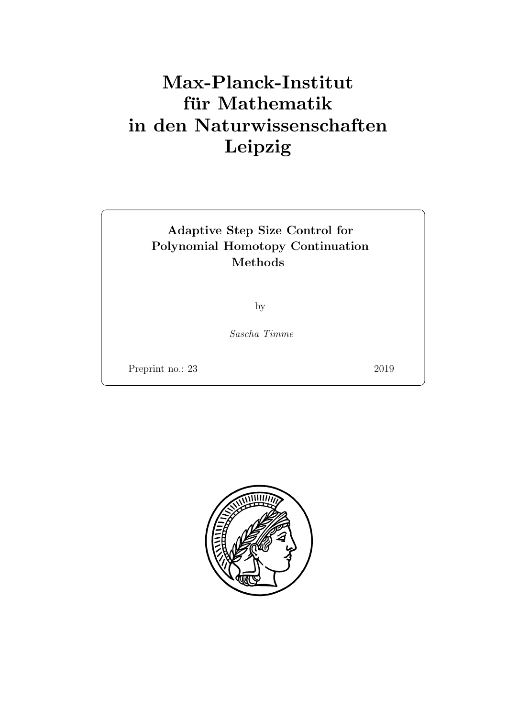# Max-Planck-Institut für Mathematik in den Naturwissenschaften Leipzig

## Adaptive Step Size Control for Polynomial Homotopy Continuation Methods

by

Sascha Timme

Preprint no.: 23 2019

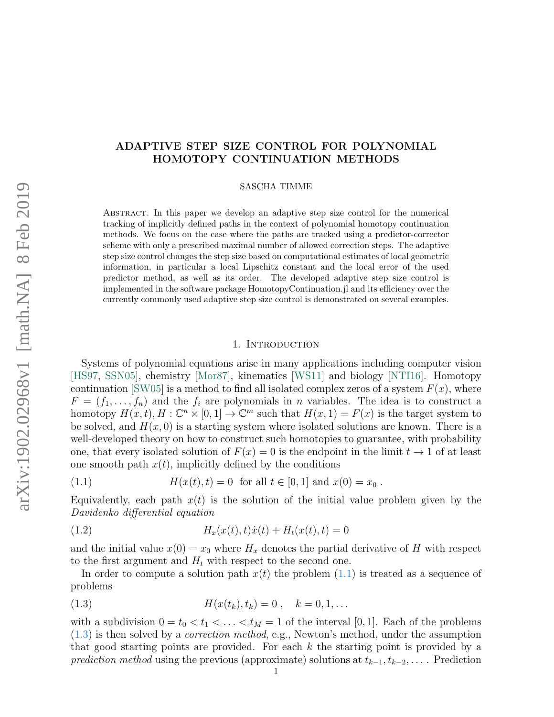# arXiv:1902.02968v1 [math.NA] 8 Feb 2019 arXiv:1902.02968v1 [math.NA] 8 Feb 2019

### ADAPTIVE STEP SIZE CONTROL FOR POLYNOMIAL HOMOTOPY CONTINUATION METHODS

SASCHA TIMME

Abstract. In this paper we develop an adaptive step size control for the numerical tracking of implicitly defined paths in the context of polynomial homotopy continuation methods. We focus on the case where the paths are tracked using a predictor-corrector scheme with only a prescribed maximal number of allowed correction steps. The adaptive step size control changes the step size based on computational estimates of local geometric information, in particular a local Lipschitz constant and the local error of the used predictor method, as well as its order. The developed adaptive step size control is implemented in the software package HomotopyContinuation.jl and its efficiency over the currently commonly used adaptive step size control is demonstrated on several examples.

### 1. INTRODUCTION

Systems of polynomial equations arise in many applications including computer vision [\[HS97,](#page-14-0) [SSN05\]](#page-14-1), chemistry [\[Mor87\]](#page-14-2), kinematics [\[WS11\]](#page-15-0) and biology [\[NTI16\]](#page-14-3). Homotopy continuation  $\text{SWO5}$  is a method to find all isolated complex zeros of a system  $F(x)$ , where  $F = (f_1, \ldots, f_n)$  and the  $f_i$  are polynomials in n variables. The idea is to construct a homotopy  $H(x,t), H: \mathbb{C}^n \times [0,1] \to \mathbb{C}^m$  such that  $H(x, 1) = F(x)$  is the target system to be solved, and  $H(x, 0)$  is a starting system where isolated solutions are known. There is a well-developed theory on how to construct such homotopies to guarantee, with probability one, that every isolated solution of  $F(x) = 0$  is the endpoint in the limit  $t \to 1$  of at least one smooth path  $x(t)$ , implicitly defined by the conditions

<span id="page-2-0"></span>(1.1) 
$$
H(x(t), t) = 0 \text{ for all } t \in [0, 1] \text{ and } x(0) = x_0.
$$

Equivalently, each path  $x(t)$  is the solution of the initial value problem given by the Davidenko differential equation

<span id="page-2-2"></span>(1.2) 
$$
H_x(x(t),t)\dot{x}(t) + H_t(x(t),t) = 0
$$

and the initial value  $x(0) = x_0$  where  $H_x$  denotes the partial derivative of H with respect to the first argument and  $H_t$  with respect to the second one.

In order to compute a solution path  $x(t)$  the problem  $(1.1)$  is treated as a sequence of problems

<span id="page-2-1"></span>(1.3) 
$$
H(x(t_k), t_k) = 0, \quad k = 0, 1, ...
$$

with a subdivision  $0 = t_0 < t_1 < \ldots < t_M = 1$  of the interval [0, 1]. Each of the problems [\(1.3\)](#page-2-1) is then solved by a correction method, e.g., Newton's method, under the assumption that good starting points are provided. For each k the starting point is provided by a prediction method using the previous (approximate) solutions at  $t_{k-1}, t_{k-2}, \ldots$ . Prediction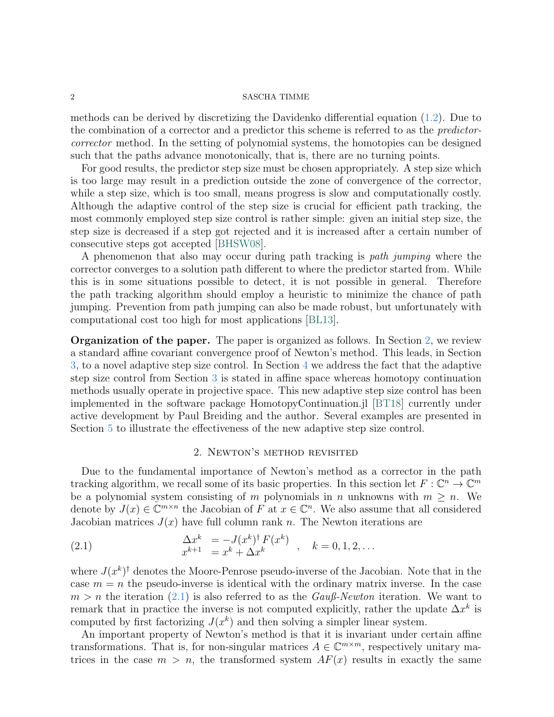### $2 \,$  SASCHA TIMME

methods can be derived by discretizing the Davidenko differential equation [\(1.2\)](#page-2-2). Due to the combination of a corrector and a predictor this scheme is referred to as the predictorcorrector method. In the setting of polynomial systems, the homotopies can be designed such that the paths advance monotonically, that is, there are no turning points.

For good results, the predictor step size must be chosen appropriately. A step size which is too large may result in a prediction outside the zone of convergence of the corrector, while a step size, which is too small, means progress is slow and computationally costly. Although the adaptive control of the step size is crucial for efficient path tracking, the most commonly employed step size control is rather simple: given an initial step size, the step size is decreased if a step got rejected and it is increased after a certain number of consecutive steps got accepted [\[BHSW08\]](#page-14-5).

A phenomenon that also may occur during path tracking is path jumping where the corrector converges to a solution path different to where the predictor started from. While this is in some situations possible to detect, it is not possible in general. Therefore the path tracking algorithm should employ a heuristic to minimize the chance of path jumping. Prevention from path jumping can also be made robust, but unfortunately with computational cost too high for most applications [\[BL13\]](#page-14-6).

Organization of the paper. The paper is organized as follows. In Section [2,](#page-3-0) we review a standard affine covariant convergence proof of Newton's method. This leads, in Section [3,](#page-6-0) to a novel adaptive step size control. In Section [4](#page-10-0) we address the fact that the adaptive step size control from Section [3](#page-6-0) is stated in affine space whereas homotopy continuation methods usually operate in projective space. This new adaptive step size control has been implemented in the software package HomotopyContinuation.jl [\[BT18\]](#page-14-7) currently under active development by Paul Breiding and the author. Several examples are presented in Section [5](#page-11-0) to illustrate the effectiveness of the new adaptive step size control.

### <span id="page-3-1"></span>2. Newton's method revisited

<span id="page-3-0"></span>Due to the fundamental importance of Newton's method as a corrector in the path tracking algorithm, we recall some of its basic properties. In this section let  $F: \mathbb{C}^n \to \mathbb{C}^m$ be a polynomial system consisting of m polynomials in n unknowns with  $m \geq n$ . We denote by  $J(x) \in \mathbb{C}^{m \times n}$  the Jacobian of F at  $x \in \mathbb{C}^n$ . We also assume that all considered Jacobian matrices  $J(x)$  have full column rank n. The Newton iterations are

(2.1) 
$$
\begin{array}{rcl}\n\Delta x^k & = -J(x^k)^\dagger F(x^k) \\
x^{k+1} & = x^k + \Delta x^k\n\end{array}, \quad k = 0, 1, 2, \dots
$$

where  $J(x^k)^\dagger$  denotes the Moore-Penrose pseudo-inverse of the Jacobian. Note that in the case  $m = n$  the pseudo-inverse is identical with the ordinary matrix inverse. In the case  $m > n$  the iteration [\(2.1\)](#page-3-1) is also referred to as the Gauß-Newton iteration. We want to remark that in practice the inverse is not computed explicitly, rather the update  $\Delta x^k$  is computed by first factorizing  $J(x^k)$  and then solving a simpler linear system.

An important property of Newton's method is that it is invariant under certain affine transformations. That is, for non-singular matrices  $A \in \mathbb{C}^{m \times m}$ , respectively unitary matrices in the case  $m > n$ , the transformed system  $AF(x)$  results in exactly the same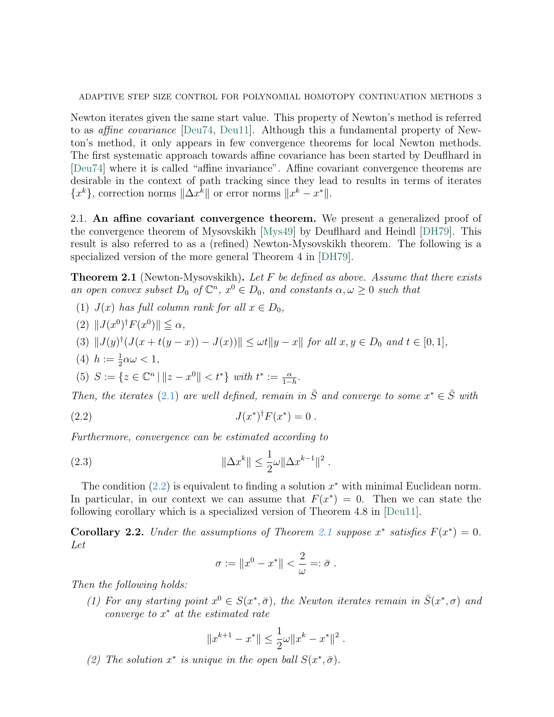Newton iterates given the same start value. This property of Newton's method is referred to as affine covariance [\[Deu74,](#page-14-8) [Deu11\]](#page-14-9). Although this a fundamental property of Newton's method, it only appears in few convergence theorems for local Newton methods. The first systematic approach towards affine covariance has been started by Deuflhard in [\[Deu74\]](#page-14-8) where it is called "affine invariance". Affine covariant convergence theorems are desirable in the context of path tracking since they lead to results in terms of iterates  ${x^k}$ , correction norms  $\|\Delta x^k\|$  or error norms  $\|x^k - x^*\|$ .

2.1. An affine covariant convergence theorem. We present a generalized proof of the convergence theorem of Mysovskikh [\[Mys49\]](#page-14-10) by Deuflhard and Heindl [\[DH79\]](#page-14-11). This result is also referred to as a (refined) Newton-Mysovskikh theorem. The following is a specialized version of the more general Theorem 4 in [\[DH79\]](#page-14-11).

<span id="page-4-1"></span>**Theorem 2.1** (Newton-Mysovskikh). Let F be defined as above. Assume that there exists an open convex subset  $D_0$  of  $\mathbb{C}^n$ ,  $x^0 \in D_0$ , and constants  $\alpha, \omega \geq 0$  such that

- (1)  $J(x)$  has full column rank for all  $x \in D_0$ ,
- (2)  $||J(x^0)^{\dagger}F(x^0)|| \leq \alpha$ ,

$$
(3) \|J(y)^{\dagger}(J(x+t(y-x))-J(x))\| \le \omega t \|y-x\| \text{ for all } x, y \in D_0 \text{ and } t \in [0,1],
$$

- (4)  $h := \frac{1}{2}\alpha\omega < 1$ ,
- (5)  $S := \{ z \in \mathbb{C}^n \mid ||z x^0|| < t^* \}$  with  $t^* := \frac{\alpha}{1 h}$ .

Then, the iterates [\(2.1\)](#page-3-1) are well defined, remain in  $\overline{S}$  and converge to some  $x^* \in \overline{S}$  with

(2.2) 
$$
J(x^*)^{\dagger} F(x^*) = 0.
$$

Furthermore, convergence can be estimated according to

(2.3) 
$$
\|\Delta x^{k}\| \leq \frac{1}{2}\omega \|\Delta x^{k-1}\|^{2}.
$$

The condition  $(2.2)$  is equivalent to finding a solution  $x^*$  with minimal Euclidean norm. In particular, in our context we can assume that  $F(x^*) = 0$ . Then we can state the following corollary which is a specialized version of Theorem 4.8 in [\[Deu11\]](#page-14-9).

<span id="page-4-2"></span>**Corollary 2.2.** Under the assumptions of Theorem [2.1](#page-4-1) suppose  $x^*$  satisfies  $F(x^*) = 0$ . Let

<span id="page-4-3"></span><span id="page-4-0"></span>
$$
\sigma := \|x^0 - x^*\| < \frac{2}{\omega} =: \bar{\sigma} \; .
$$

Then the following holds:

(1) For any starting point  $x^0 \in S(x^*, \bar{\sigma})$ , the Newton iterates remain in  $\bar{S}(x^*, \sigma)$  and converge to  $x^*$  at the estimated rate

$$
||x^{k+1} - x^*|| \le \frac{1}{2}\omega ||x^k - x^*||^2.
$$

(2) The solution  $x^*$  is unique in the open ball  $S(x^*, \bar{\sigma})$ .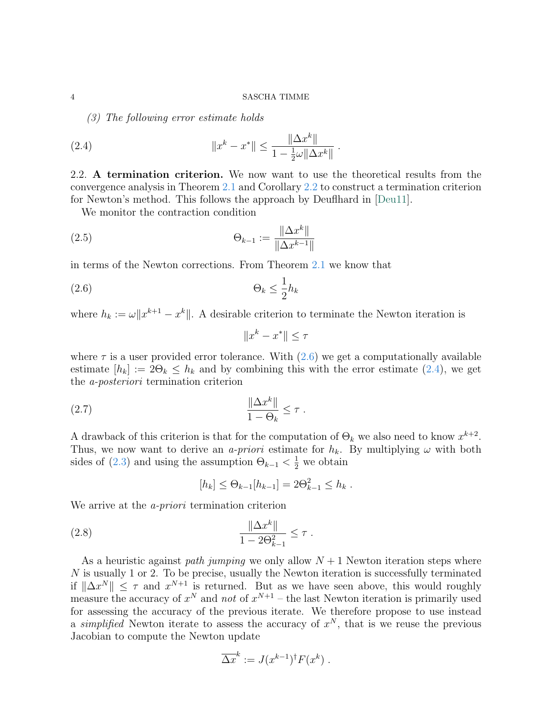<span id="page-5-1"></span>(3) The following error estimate holds

(2.4) 
$$
||x^{k} - x^{*}|| \le \frac{||\Delta x^{k}||}{1 - \frac{1}{2}\omega ||\Delta x^{k}||}
$$

2.2. A termination criterion. We now want to use the theoretical results from the convergence analysis in Theorem [2.1](#page-4-1) and Corollary [2.2](#page-4-2) to construct a termination criterion for Newton's method. This follows the approach by Deuflhard in [\[Deu11\]](#page-14-9).

.

We monitor the contraction condition

(2.5) 
$$
\Theta_{k-1} := \frac{\|\Delta x^k\|}{\|\Delta x^{k-1}\|}
$$

in terms of the Newton corrections. From Theorem [2.1](#page-4-1) we know that

$$
(2.6) \t\t \Theta_k \le \frac{1}{2} h_k
$$

where  $h_k := \omega ||x^{k+1} - x^k||$ . A desirable criterion to terminate the Newton iteration is

<span id="page-5-0"></span>
$$
||x^k - x^*|| \le \tau
$$

where  $\tau$  is a user provided error tolerance. With  $(2.6)$  we get a computationally available estimate  $[h_k] := 2\Theta_k \leq h_k$  and by combining this with the error estimate [\(2.4\)](#page-5-1), we get the a-posteriori termination criterion

$$
(2.7) \qquad \frac{\|\Delta x^k\|}{1-\Theta_k} \leq \tau.
$$

A drawback of this criterion is that for the computation of  $\Theta_k$  we also need to know  $x^{k+2}$ . Thus, we now want to derive an a-priori estimate for  $h_k$ . By multiplying  $\omega$  with both sides of [\(2.3\)](#page-4-3) and using the assumption  $\Theta_{k-1} < \frac{1}{2}$  we obtain

<span id="page-5-2"></span>
$$
[h_k] \leq \Theta_{k-1}[h_{k-1}] = 2\Theta_{k-1}^2 \leq h_k.
$$

We arrive at the *a-priori* termination criterion

(2.8) 
$$
\frac{\|\Delta x^k\|}{1 - 2\Theta_{k-1}^2} \leq \tau.
$$

As a heuristic against *path jumping* we only allow  $N + 1$  Newton iteration steps where N is usually 1 or 2. To be precise, usually the Newton iteration is successfully terminated if  $\|\Delta x^N\| \leq \tau$  and  $x^{N+1}$  is returned. But as we have seen above, this would roughly measure the accuracy of  $x^N$  and not of  $x^{N+1}$  – the last Newton iteration is primarily used for assessing the accuracy of the previous iterate. We therefore propose to use instead a simplified Newton iterate to assess the accuracy of  $x^N$ , that is we reuse the previous Jacobian to compute the Newton update

$$
\overline{\Delta x}^k := J(x^{k-1})^{\dagger} F(x^k) .
$$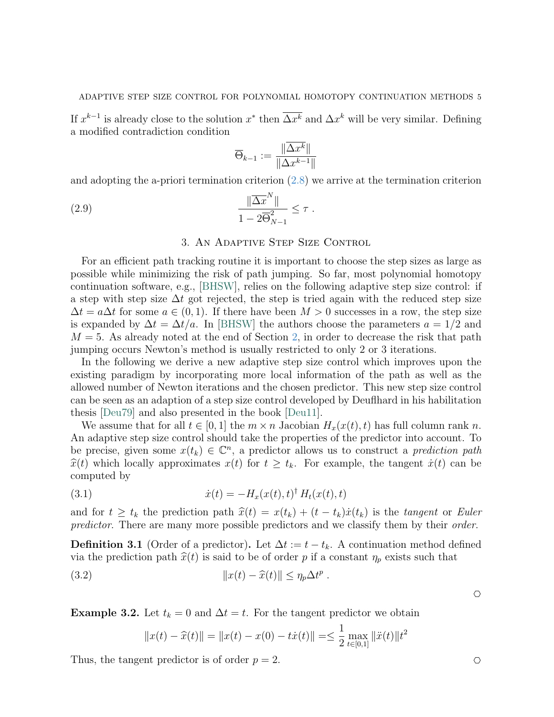If  $x^{k-1}$  is already close to the solution  $x^*$  then  $\overline{\Delta x^k}$  and  $\Delta x^k$  will be very similar. Defining a modified contradiction condition

<span id="page-6-3"></span>
$$
\overline{\Theta}_{k-1} := \frac{\|\Delta x^k\|}{\|\Delta x^{k-1}\|}
$$

and adopting the a-priori termination criterion [\(2.8\)](#page-5-2) we arrive at the termination criterion

$$
(2.9) \qquad \qquad \frac{\|\overline{\Delta x}^N\|}{1 - 2\overline{\Theta}_{N-1}^2} \leq \tau.
$$

### 3. An Adaptive Step Size Control

<span id="page-6-0"></span>For an efficient path tracking routine it is important to choose the step sizes as large as possible while minimizing the risk of path jumping. So far, most polynomial homotopy continuation software, e.g., [\[BHSW\]](#page-14-12), relies on the following adaptive step size control: if a step with step size  $\Delta t$  got rejected, the step is tried again with the reduced step size  $\Delta t = a \Delta t$  for some  $a \in (0, 1)$ . If there have been  $M > 0$  successes in a row, the step size is expanded by  $\Delta t = \Delta t/a$ . In [\[BHSW\]](#page-14-12) the authors choose the parameters  $a = 1/2$  and  $M = 5$ . As already noted at the end of Section [2,](#page-3-0) in order to decrease the risk that path jumping occurs Newton's method is usually restricted to only 2 or 3 iterations.

In the following we derive a new adaptive step size control which improves upon the existing paradigm by incorporating more local information of the path as well as the allowed number of Newton iterations and the chosen predictor. This new step size control can be seen as an adaption of a step size control developed by Deuflhard in his habilitation thesis [\[Deu79\]](#page-14-13) and also presented in the book [\[Deu11\]](#page-14-9).

We assume that for all  $t \in [0, 1]$  the  $m \times n$  Jacobian  $H_x(x(t), t)$  has full column rank n. An adaptive step size control should take the properties of the predictor into account. To be precise, given some  $x(t_k) \in \mathbb{C}^n$ , a predictor allows us to construct a *prediction path*  $\hat{x}(t)$  which locally approximates  $x(t)$  for  $t \geq t_k$ . For example, the tangent  $\dot{x}(t)$  can be computed by

<span id="page-6-2"></span>(3.1) 
$$
\dot{x}(t) = -H_x(x(t),t)^{\dagger} H_t(x(t),t)
$$

and for  $t \geq t_k$  the prediction path  $\hat{x}(t) = x(t_k) + (t - t_k)\dot{x}(t_k)$  is the tangent or Euler predictor. There are many more possible predictors and we classify them by their order.

**Definition 3.1** (Order of a predictor). Let  $\Delta t := t - t_k$ . A continuation method defined via the prediction path  $\hat{x}(t)$  is said to be of order p if a constant  $\eta_p$  exists such that

(3.2) 
$$
||x(t) - \widehat{x}(t)|| \leq \eta_p \Delta t^p.
$$

**Example 3.2.** Let  $t_k = 0$  and  $\Delta t = t$ . For the tangent predictor we obtain

<span id="page-6-1"></span>
$$
||x(t) - \widehat{x}(t)|| = ||x(t) - x(0) - tx(t)|| \le \frac{1}{2} \max_{t \in [0,1]} ||\ddot{x}(t)||t^2
$$

Thus, the tangent predictor is of order  $p = 2$ .

 $\circlearrowright$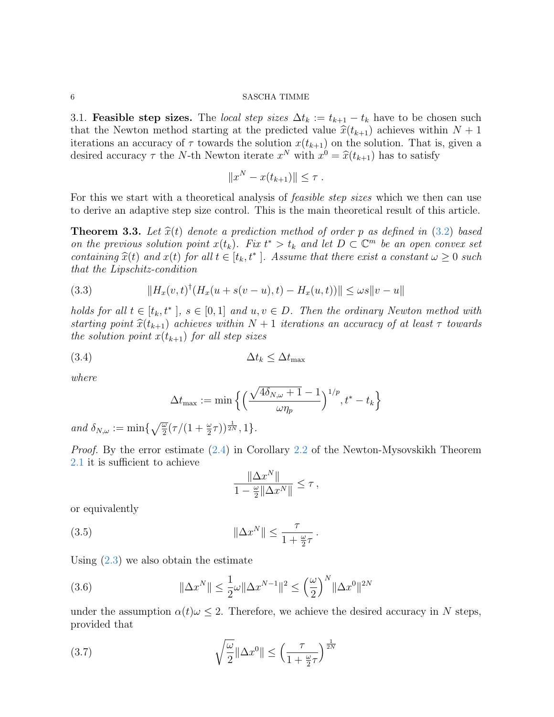3.1. **Feasible step sizes.** The *local step sizes*  $\Delta t_k := t_{k+1} - t_k$  have to be chosen such that the Newton method starting at the predicted value  $\hat{x}(t_{k+1})$  achieves within  $N + 1$ iterations an accuracy of  $\tau$  towards the solution  $x(t_{k+1})$  on the solution. That is, given a desired accuracy  $\tau$  the N-th Newton iterate  $x^N$  with  $x^0 = \hat{x}(t_{k+1})$  has to satisfy

$$
||x^N - x(t_{k+1})|| \leq \tau.
$$

For this we start with a theoretical analysis of *feasible step sizes* which we then can use to derive an adaptive step size control. This is the main theoretical result of this article.

<span id="page-7-2"></span>**Theorem 3.3.** Let  $\hat{x}(t)$  denote a prediction method of order p as defined in [\(3.2\)](#page-6-1) based on the previous solution point  $x(t_k)$ . Fix  $t^* > t_k$  and let  $D \subset \mathbb{C}^m$  be an open convex set containing  $\hat{x}(t)$  and  $x(t)$  for all  $t \in [t_k, t^*]$ . Assume that there exist a constant  $\omega \geq 0$  such that the Linschitz condition that the Lipschitz-condition

(3.3) 
$$
||H_x(v,t)^{\dagger}(H_x(u+s(v-u),t)-H_x(u,t))|| \leq \omega s ||v-u||
$$

holds for all  $t \in [t_k, t^*]$ ,  $s \in [0,1]$  and  $u, v \in D$ . Then the ordinary Newton method with starting point  $\hat{x}(t_{k+1})$  achieves within  $N + 1$  iterations an accuracy of at least  $\tau$  towards the solution point  $x(t_{k+1})$  for all step sizes

$$
(3.4) \t\t \t\t \Delta t_k \leq \Delta t_{\max}
$$

where

<span id="page-7-1"></span>
$$
\Delta t_{\max} := \min \Big\{ \Big( \frac{\sqrt{4 \delta_{N,\omega} + 1} - 1}{\omega \eta_p} \Big)^{1/p}, t^* - t_k \Big\}
$$

and  $\delta_{N,\omega} := \min\{\sqrt{\frac{\omega}{2}}(\tau/(1+\frac{\omega}{2}\tau))^{\frac{1}{2N}}, 1\}.$ 

Proof. By the error estimate [\(2.4\)](#page-5-1) in Corollary [2.2](#page-4-2) of the Newton-Mysovskikh Theorem [2.1](#page-4-1) it is sufficient to achieve

$$
\frac{\|\Delta x^N\|}{1-\frac{\omega}{2}\|\Delta x^N\|} \leq \tau,
$$

or equivalently

(3.5) 
$$
\|\Delta x^N\| \leq \frac{\tau}{1 + \frac{\omega}{2}\tau}.
$$

Using [\(2.3\)](#page-4-3) we also obtain the estimate

(3.6) 
$$
\|\Delta x^N\| \le \frac{1}{2}\omega \|\Delta x^{N-1}\|^2 \le \left(\frac{\omega}{2}\right)^N \|\Delta x^0\|^{2N}
$$

under the assumption  $\alpha(t)\omega \leq 2$ . Therefore, we achieve the desired accuracy in N steps, provided that

<span id="page-7-0"></span>(3.7) 
$$
\sqrt{\frac{\omega}{2}} \|\Delta x^0\| \le \left(\frac{\tau}{1 + \frac{\omega}{2}\tau}\right)^{\frac{1}{2N}}
$$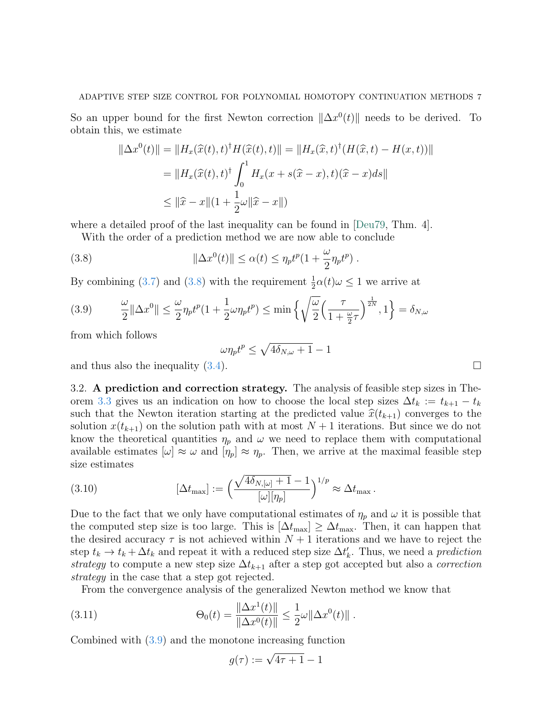So an upper bound for the first Newton correction  $\|\Delta x^0(t)\|$  needs to be derived. To obtain this, we estimate

$$
\|\Delta x^0(t)\| = \|H_x(\widehat{x}(t), t)^{\dagger} H(\widehat{x}(t), t)\| = \|H_x(\widehat{x}, t)^{\dagger} (H(\widehat{x}, t) - H(x, t))\|
$$
  

$$
= \|H_x(\widehat{x}(t), t)^{\dagger} \int_0^1 H_x(x + s(\widehat{x} - x), t)(\widehat{x} - x) ds\|
$$
  

$$
\leq \|\widehat{x} - x\|(1 + \frac{1}{2}\omega\|\widehat{x} - x\|)
$$

where a detailed proof of the last inequality can be found in [\[Deu79,](#page-14-13) Thm. 4].

With the order of a prediction method we are now able to conclude

(3.8) 
$$
\|\Delta x^0(t)\| \leq \alpha(t) \leq \eta_p t^p (1 + \frac{\omega}{2} \eta_p t^p).
$$

By combining [\(3.7\)](#page-7-0) and [\(3.8\)](#page-8-0) with the requirement  $\frac{1}{2}\alpha(t)\omega \leq 1$  we arrive at

<span id="page-8-1"></span>
$$
(3.9) \qquad \frac{\omega}{2} \|\Delta x^0\| \le \frac{\omega}{2} \eta_p t^p (1 + \frac{1}{2} \omega \eta_p t^p) \le \min\left\{\sqrt{\frac{\omega}{2}} \left(\frac{\tau}{1 + \frac{\omega}{2}\tau}\right)^{\frac{1}{2N}}, 1\right\} = \delta_{N,\omega}
$$

from which follows

<span id="page-8-0"></span>
$$
\omega \eta_p t^p \leq \sqrt{4 \delta_{N,\omega} + 1} - 1
$$

and thus also the inequality  $(3.4)$ .

3.2. A prediction and correction strategy. The analysis of feasible step sizes in The-orem [3.3](#page-7-2) gives us an indication on how to choose the local step sizes  $\Delta t_k := t_{k+1} - t_k$ such that the Newton iteration starting at the predicted value  $\hat{x}(t_{k+1})$  converges to the solution  $x(t_{k+1})$  on the solution path with at most  $N+1$  iterations. But since we do not know the theoretical quantities  $\eta_p$  and  $\omega$  we need to replace them with computational available estimates  $[\omega] \approx \omega$  and  $[\eta_p] \approx \eta_p$ . Then, we arrive at the maximal feasible step size estimates

(3.10) 
$$
[\Delta t_{\text{max}}] := \left(\frac{\sqrt{4\delta_{N,[\omega]}+1}-1}{[\omega][\eta_p]}\right)^{1/p} \approx \Delta t_{\text{max}}.
$$

Due to the fact that we only have computational estimates of  $\eta_p$  and  $\omega$  it is possible that the computed step size is too large. This is  $[\Delta t_{\text{max}}] \geq \Delta t_{\text{max}}$ . Then, it can happen that the desired accuracy  $\tau$  is not achieved within  $N+1$  iterations and we have to reject the step  $t_k \to t_k + \Delta t_k$  and repeat it with a reduced step size  $\Delta t'_k$ . Thus, we need a *prediction* strategy to compute a new step size  $\Delta t_{k+1}$  after a step got accepted but also a *correction* strategy in the case that a step got rejected.

From the convergence analysis of the generalized Newton method we know that

(3.11) 
$$
\Theta_0(t) = \frac{\|\Delta x^1(t)\|}{\|\Delta x^0(t)\|} \le \frac{1}{2}\omega \|\Delta x^0(t)\|.
$$

Combined with [\(3.9\)](#page-8-1) and the monotone increasing function

$$
g(\tau) := \sqrt{4\tau + 1} - 1
$$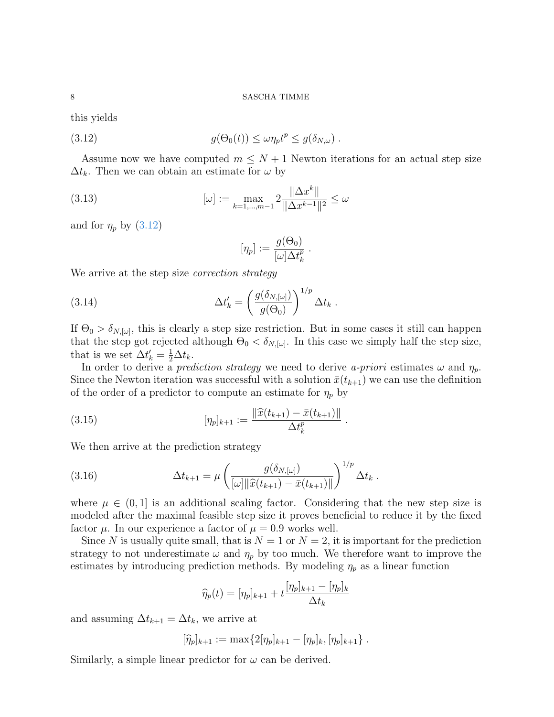this yields

(3.12) 
$$
g(\Theta_0(t)) \leq \omega \eta_p t^p \leq g(\delta_{N,\omega}).
$$

Assume now we have computed  $m \leq N+1$  Newton iterations for an actual step size  $\Delta t_k$ . Then we can obtain an estimate for  $\omega$  by

(3.13) 
$$
[\omega] := \max_{k=1,\dots,m-1} 2 \frac{\|\Delta x^k\|}{\|\Delta x^{k-1}\|^2} \le \omega
$$

and for  $\eta_p$  by [\(3.12\)](#page-9-0)

<span id="page-9-0"></span>
$$
[\eta_p] := \frac{g(\Theta_0)}{[\omega] \Delta t_k^p} .
$$

We arrive at the step size *correction strategy* 

(3.14) 
$$
\Delta t'_k = \left(\frac{g(\delta_{N,[\omega]})}{g(\Theta_0)}\right)^{1/p} \Delta t_k.
$$

If  $\Theta_0 > \delta_{N,[\omega]}$ , this is clearly a step size restriction. But in some cases it still can happen that the step got rejected although  $\Theta_0 < \delta_{N,[\omega]}$ . In this case we simply half the step size, that is we set  $\Delta t_k' = \frac{1}{2}\Delta t_k$ .

In order to derive a prediction strategy we need to derive a-priori estimates  $\omega$  and  $\eta_p$ . Since the Newton iteration was successful with a solution  $\bar{x}(t_{k+1})$  we can use the definition of the order of a predictor to compute an estimate for  $\eta_p$  by

(3.15) 
$$
[\eta_p]_{k+1} := \frac{\|\widehat{x}(t_{k+1}) - \bar{x}(t_{k+1})\|}{\Delta t_k^p}.
$$

We then arrive at the prediction strategy

(3.16) 
$$
\Delta t_{k+1} = \mu \left( \frac{g(\delta_{N,[\omega]})}{[\omega] \|\widehat{x}(t_{k+1}) - \bar{x}(t_{k+1})\|} \right)^{1/p} \Delta t_k.
$$

where  $\mu \in (0,1]$  is an additional scaling factor. Considering that the new step size is modeled after the maximal feasible step size it proves beneficial to reduce it by the fixed factor  $\mu$ . In our experience a factor of  $\mu = 0.9$  works well.

Since N is usually quite small, that is  $N = 1$  or  $N = 2$ , it is important for the prediction strategy to not underestimate  $\omega$  and  $\eta_p$  by too much. We therefore want to improve the estimates by introducing prediction methods. By modeling  $\eta_p$  as a linear function

$$
\widehat{\eta}_p(t) = [\eta_p]_{k+1} + t \frac{[\eta_p]_{k+1} - [\eta_p]_k}{\Delta t_k}
$$

and assuming  $\Delta t_{k+1} = \Delta t_k$ , we arrive at

$$
[\widehat{\eta}_p]_{k+1} := \max\{2[\eta_p]_{k+1} - [\eta_p]_k, [\eta_p]_{k+1}\}.
$$

Similarly, a simple linear predictor for  $\omega$  can be derived.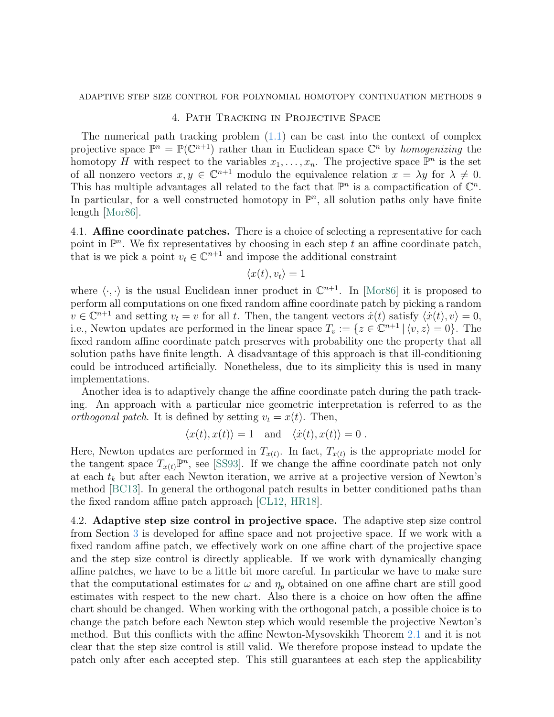### ADAPTIVE STEP SIZE CONTROL FOR POLYNOMIAL HOMOTOPY CONTINUATION METHODS 9

### 4. Path Tracking in Projective Space

<span id="page-10-0"></span>The numerical path tracking problem  $(1.1)$  can be cast into the context of complex projective space  $\mathbb{P}^n = \mathbb{P}(\mathbb{C}^{n+1})$  rather than in Euclidean space  $\mathbb{C}^n$  by *homogenizing* the homotopy H with respect to the variables  $x_1, \ldots, x_n$ . The projective space  $\mathbb{P}^n$  is the set of all nonzero vectors  $x, y \in \mathbb{C}^{n+1}$  modulo the equivalence relation  $x = \lambda y$  for  $\lambda \neq 0$ . This has multiple advantages all related to the fact that  $\mathbb{P}^n$  is a compactification of  $\mathbb{C}^n$ . In particular, for a well constructed homotopy in  $\mathbb{P}^n$ , all solution paths only have finite length [\[Mor86\]](#page-14-14).

4.1. **Affine coordinate patches.** There is a choice of selecting a representative for each point in  $\mathbb{P}^n$ . We fix representatives by choosing in each step t an affine coordinate patch, that is we pick a point  $v_t \in \mathbb{C}^{n+1}$  and impose the additional constraint

$$
\langle x(t), v_t \rangle = 1
$$

where  $\langle \cdot, \cdot \rangle$  is the usual Euclidean inner product in  $\mathbb{C}^{n+1}$ . In [\[Mor86\]](#page-14-14) it is proposed to perform all computations on one fixed random affine coordinate patch by picking a random  $v \in \mathbb{C}^{n+1}$  and setting  $v_t = v$  for all t. Then, the tangent vectors  $\dot{x}(t)$  satisfy  $\langle \dot{x}(t), v \rangle = 0$ , i.e., Newton updates are performed in the linear space  $T_v := \{z \in \mathbb{C}^{n+1} \mid \langle v, z \rangle = 0\}.$  The fixed random affine coordinate patch preserves with probability one the property that all solution paths have finite length. A disadvantage of this approach is that ill-conditioning could be introduced artificially. Nonetheless, due to its simplicity this is used in many implementations.

Another idea is to adaptively change the affine coordinate patch during the path tracking. An approach with a particular nice geometric interpretation is referred to as the orthogonal patch. It is defined by setting  $v_t = x(t)$ . Then,

$$
\langle x(t), x(t) \rangle = 1 \quad \text{and} \quad \langle \dot{x}(t), x(t) \rangle = 0 \ .
$$

Here, Newton updates are performed in  $T_{x(t)}$ . In fact,  $T_{x(t)}$  is the appropriate model for the tangent space  $T_{x(t)}\mathbb{P}^n$ , see [\[SS93\]](#page-14-15). If we change the affine coordinate patch not only at each  $t_k$  but after each Newton iteration, we arrive at a projective version of Newton's method [\[BC13\]](#page-13-0). In general the orthogonal patch results in better conditioned paths than the fixed random affine patch approach [\[CL12,](#page-14-16) [HR18\]](#page-14-17).

4.2. Adaptive step size control in projective space. The adaptive step size control from Section [3](#page-6-0) is developed for affine space and not projective space. If we work with a fixed random affine patch, we effectively work on one affine chart of the projective space and the step size control is directly applicable. If we work with dynamically changing affine patches, we have to be a little bit more careful. In particular we have to make sure that the computational estimates for  $\omega$  and  $\eta_p$  obtained on one affine chart are still good estimates with respect to the new chart. Also there is a choice on how often the affine chart should be changed. When working with the orthogonal patch, a possible choice is to change the patch before each Newton step which would resemble the projective Newton's method. But this conflicts with the affine Newton-Mysovskikh Theorem [2.1](#page-4-1) and it is not clear that the step size control is still valid. We therefore propose instead to update the patch only after each accepted step. This still guarantees at each step the applicability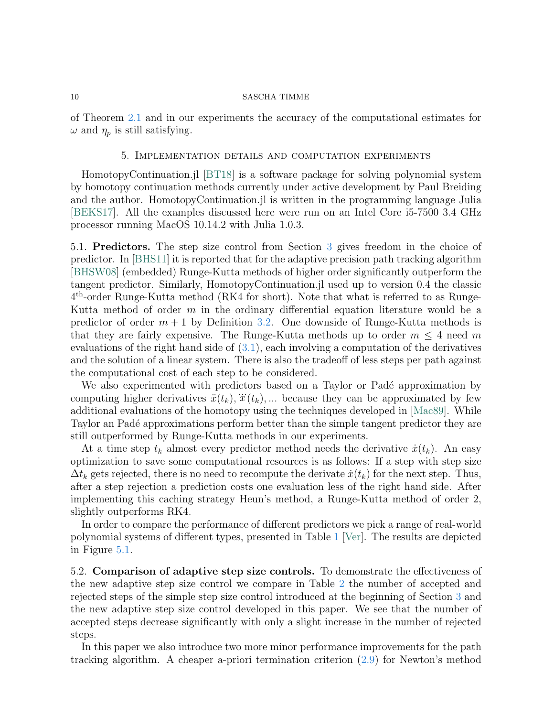of Theorem [2.1](#page-4-1) and in our experiments the accuracy of the computational estimates for  $\omega$  and  $\eta_p$  is still satisfying.

### 5. Implementation details and computation experiments

<span id="page-11-0"></span>HomotopyContinuation.jl [\[BT18\]](#page-14-7) is a software package for solving polynomial system by homotopy continuation methods currently under active development by Paul Breiding and the author. HomotopyContinuation.jl is written in the programming language Julia [\[BEKS17\]](#page-13-1). All the examples discussed here were run on an Intel Core i5-7500 3.4 GHz processor running MacOS 10.14.2 with Julia 1.0.3.

5.1. Predictors. The step size control from Section [3](#page-6-0) gives freedom in the choice of predictor. In [\[BHS11\]](#page-13-2) it is reported that for the adaptive precision path tracking algorithm [\[BHSW08\]](#page-14-5) (embedded) Runge-Kutta methods of higher order significantly outperform the tangent predictor. Similarly, HomotopyContinuation.jl used up to version 0.4 the classic 4 th-order Runge-Kutta method (RK4 for short). Note that what is referred to as Runge-Kutta method of order  $m$  in the ordinary differential equation literature would be a predictor of order  $m + 1$  by Definition [3.2.](#page-6-1) One downside of Runge-Kutta methods is that they are fairly expensive. The Runge-Kutta methods up to order  $m \leq 4$  need m evaluations of the right hand side of [\(3.1\)](#page-6-2), each involving a computation of the derivatives and the solution of a linear system. There is also the tradeoff of less steps per path against the computational cost of each step to be considered.

We also experimented with predictors based on a Taylor or Padé approximation by we also experimented with predictors based on a Taylor of Tade approximation by computing higher derivatives  $\ddot{x}(t_k)$ ,  $\dddot{x}(t_k)$ , ... because they can be approximated by few additional evaluations of the homotopy using the techniques developed in [\[Mac89\]](#page-14-18). While Taylor an Padé approximations perform better than the simple tangent predictor they are still outperformed by Runge-Kutta methods in our experiments.

At a time step  $t_k$  almost every predictor method needs the derivative  $\dot{x}(t_k)$ . An easy optimization to save some computational resources is as follows: If a step with step size  $\Delta t_k$  gets rejected, there is no need to recompute the derivate  $\dot{x}(t_k)$  for the next step. Thus, after a step rejection a prediction costs one evaluation less of the right hand side. After implementing this caching strategy Heun's method, a Runge-Kutta method of order 2, slightly outperforms RK4.

In order to compare the performance of different predictors we pick a range of real-world polynomial systems of different types, presented in Table [1](#page-12-0) [\[Ver\]](#page-15-1). The results are depicted in Figure [5.1.](#page-12-0)

5.2. Comparison of adaptive step size controls. To demonstrate the effectiveness of the new adaptive step size control we compare in Table [2](#page-13-3) the number of accepted and rejected steps of the simple step size control introduced at the beginning of Section [3](#page-6-0) and the new adaptive step size control developed in this paper. We see that the number of accepted steps decrease significantly with only a slight increase in the number of rejected steps.

In this paper we also introduce two more minor performance improvements for the path tracking algorithm. A cheaper a-priori termination criterion [\(2.9\)](#page-6-3) for Newton's method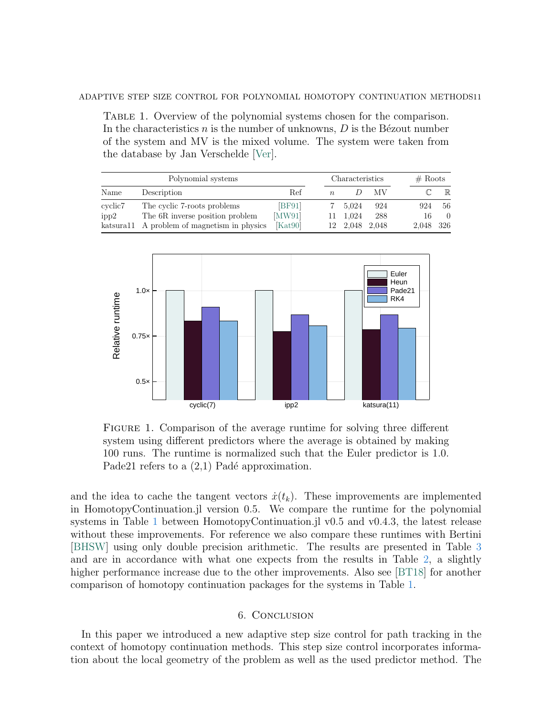<span id="page-12-0"></span>Table 1. Overview of the polynomial systems chosen for the comparison. In the characteristics  $n$  is the number of unknowns,  $D$  is the Bézout number of the system and MV is the mixed volume. The system were taken from the database by Jan Verschelde [\[Ver\]](#page-15-1).

| Polynomial systems |                                              |        | Characteristics |                |     |  | # Roots   |             |
|--------------------|----------------------------------------------|--------|-----------------|----------------|-----|--|-----------|-------------|
| Name               | Description                                  | Ref    | $n_{\cdot}$     |                | МV  |  |           | $\mathbb R$ |
| cyclic7            | The cyclic 7-roots problems                  | [BF91] |                 | 7 5.024        | 924 |  | 924       | 56          |
| ipp2               | The 6R inverse position problem              | [MW91] |                 | 11 1.024       | 288 |  | 16        | $\Omega$    |
|                    | katsural 1 A problem of magnetism in physics | Kat90  |                 | 12 2,048 2,048 |     |  | 2,048 326 |             |



FIGURE 1. Comparison of the average runtime for solving three different system using different predictors where the average is obtained by making 100 runs. The runtime is normalized such that the Euler predictor is 1.0. Pade21 refers to a  $(2,1)$  Padé approximation.

and the idea to cache the tangent vectors  $\dot{x}(t_k)$ . These improvements are implemented in HomotopyContinuation.jl version 0.5. We compare the runtime for the polynomial systems in Table [1](#page-12-0) between HomotopyContinuation.jl v0.5 and v0.4.3, the latest release without these improvements. For reference we also compare these runtimes with Bertini [\[BHSW\]](#page-14-12) using only double precision arithmetic. The results are presented in Table [3](#page-13-5) and are in accordance with what one expects from the results in Table [2,](#page-13-3) a slightly higher performance increase due to the other improvements. Also see [\[BT18\]](#page-14-7) for another comparison of homotopy continuation packages for the systems in Table [1.](#page-12-0)

### 6. Conclusion

In this paper we introduced a new adaptive step size control for path tracking in the context of homotopy continuation methods. This step size control incorporates information about the local geometry of the problem as well as the used predictor method. The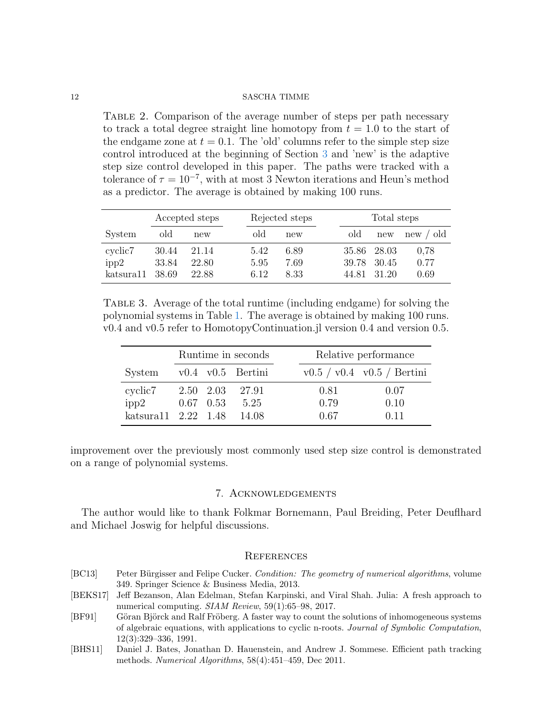<span id="page-13-3"></span>Table 2. Comparison of the average number of steps per path necessary to track a total degree straight line homotopy from  $t = 1.0$  to the start of the endgame zone at  $t = 0.1$ . The 'old' columns refer to the simple step size control introduced at the beginning of Section [3](#page-6-0) and 'new' is the adaptive step size control developed in this paper. The paths were tracked with a tolerance of  $\tau = 10^{-7}$ , with at most 3 Newton iterations and Heun's method as a predictor. The average is obtained by making 100 runs.

|                                          | Accepted steps          |                         | Rejected steps       |                      |  | Total steps             |                           |                      |  |
|------------------------------------------|-------------------------|-------------------------|----------------------|----------------------|--|-------------------------|---------------------------|----------------------|--|
| System                                   | old                     | new                     | old                  | new                  |  | old                     | new                       | new / old            |  |
| cyclic <sub>7</sub><br>ipp2<br>katsura11 | 30.44<br>33.84<br>38.69 | 21.14<br>22.80<br>22.88 | 5.42<br>5.95<br>6.12 | 6.89<br>7.69<br>8.33 |  | 35.86<br>39.78<br>44.81 | - 28.03<br>30.45<br>31 20 | 0,78<br>0.77<br>0.69 |  |

<span id="page-13-5"></span>Table 3. Average of the total runtime (including endgame) for solving the polynomial systems in Table [1.](#page-12-0) The average is obtained by making 100 runs. v0.4 and v0.5 refer to HomotopyContinuation.jl version 0.4 and version 0.5.

|                                              | Runtime in seconds |  |                                         | Relative performance       |                      |
|----------------------------------------------|--------------------|--|-----------------------------------------|----------------------------|----------------------|
| $System$ v0.4 v0.5 Bertini                   |                    |  |                                         | v0.5 / v0.4 v0.5 / Bertini |                      |
| cyclic7<br>ipp2<br>katsura11 2.22 1.48 14.08 |                    |  | 2.50 2.03 27.91<br>$0.67$ $0.53$ $5.25$ | 0.81<br>0.79<br>0.67       | 0.07<br>0.10<br>0.11 |

improvement over the previously most commonly used step size control is demonstrated on a range of polynomial systems.

### 7. Acknowledgements

The author would like to thank Folkmar Bornemann, Paul Breiding, Peter Deuflhard and Michael Joswig for helpful discussions.

### **REFERENCES**

- <span id="page-13-0"></span>[BC13] Peter Bürgisser and Felipe Cucker. *Condition: The geometry of numerical algorithms*, volume 349. Springer Science & Business Media, 2013.
- <span id="page-13-1"></span>[BEKS17] Jeff Bezanson, Alan Edelman, Stefan Karpinski, and Viral Shah. Julia: A fresh approach to numerical computing. SIAM Review, 59(1):65–98, 2017.
- <span id="page-13-4"></span>[BF91] Göran Björck and Ralf Fröberg. A faster way to count the solutions of inhomogeneous systems of algebraic equations, with applications to cyclic n-roots. Journal of Symbolic Computation, 12(3):329–336, 1991.
- <span id="page-13-2"></span>[BHS11] Daniel J. Bates, Jonathan D. Hauenstein, and Andrew J. Sommese. Efficient path tracking methods. Numerical Algorithms, 58(4):451–459, Dec 2011.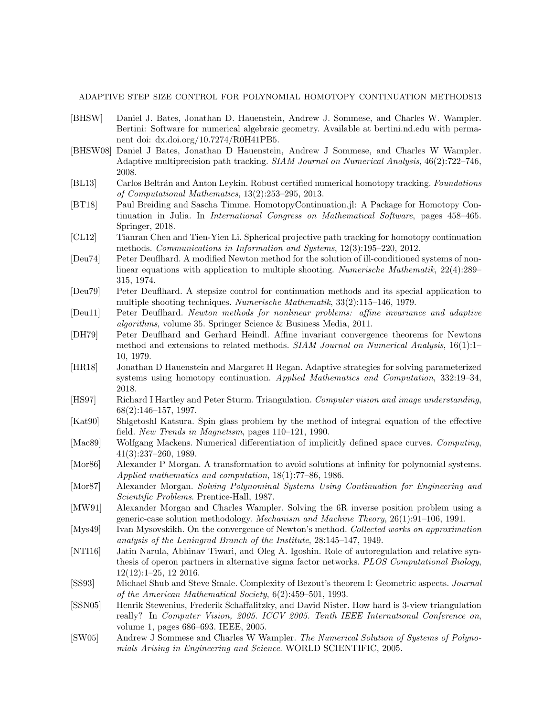ADAPTIVE STEP SIZE CONTROL FOR POLYNOMIAL HOMOTOPY CONTINUATION METHODS13

- <span id="page-14-12"></span>[BHSW] Daniel J. Bates, Jonathan D. Hauenstein, Andrew J. Sommese, and Charles W. Wampler. Bertini: Software for numerical algebraic geometry. Available at bertini.nd.edu with permanent doi: dx.doi.org/10.7274/R0H41PB5.
- <span id="page-14-5"></span>[BHSW08] Daniel J Bates, Jonathan D Hauenstein, Andrew J Sommese, and Charles W Wampler. Adaptive multiprecision path tracking. SIAM Journal on Numerical Analysis, 46(2):722–746, 2008.
- <span id="page-14-6"></span>[BL13] Carlos Beltrán and Anton Leykin. Robust certified numerical homotopy tracking. Foundations of Computational Mathematics, 13(2):253–295, 2013.
- <span id="page-14-7"></span>[BT18] Paul Breiding and Sascha Timme. HomotopyContinuation.jl: A Package for Homotopy Continuation in Julia. In International Congress on Mathematical Software, pages 458–465. Springer, 2018.
- <span id="page-14-16"></span>[CL12] Tianran Chen and Tien-Yien Li. Spherical projective path tracking for homotopy continuation methods. Communications in Information and Systems, 12(3):195–220, 2012.
- <span id="page-14-8"></span>[Deu74] Peter Deuflhard. A modified Newton method for the solution of ill-conditioned systems of nonlinear equations with application to multiple shooting. Numerische Mathematik, 22(4):289– 315, 1974.
- <span id="page-14-13"></span>[Deu79] Peter Deuflhard. A stepsize control for continuation methods and its special application to multiple shooting techniques. Numerische Mathematik, 33(2):115–146, 1979.
- <span id="page-14-9"></span>[Deu11] Peter Deuflhard. Newton methods for nonlinear problems: affine invariance and adaptive algorithms, volume 35. Springer Science & Business Media, 2011.
- <span id="page-14-11"></span>[DH79] Peter Deuflhard and Gerhard Heindl. Affine invariant convergence theorems for Newtons method and extensions to related methods. SIAM Journal on Numerical Analysis, 16(1):1– 10, 1979.
- <span id="page-14-17"></span>[HR18] Jonathan D Hauenstein and Margaret H Regan. Adaptive strategies for solving parameterized systems using homotopy continuation. Applied Mathematics and Computation, 332:19–34, 2018.
- <span id="page-14-0"></span>[HS97] Richard I Hartley and Peter Sturm. Triangulation. Computer vision and image understanding, 68(2):146–157, 1997.
- <span id="page-14-20"></span>[Kat90] Shlgetoshl Katsura. Spin glass problem by the method of integral equation of the effective field. New Trends in Magnetism, pages 110–121, 1990.
- <span id="page-14-18"></span>[Mac89] Wolfgang Mackens. Numerical differentiation of implicitly defined space curves. Computing, 41(3):237–260, 1989.
- <span id="page-14-14"></span>[Mor86] Alexander P Morgan. A transformation to avoid solutions at infinity for polynomial systems. Applied mathematics and computation, 18(1):77–86, 1986.
- <span id="page-14-2"></span>[Mor87] Alexander Morgan. Solving Polynominal Systems Using Continuation for Engineering and Scientific Problems. Prentice-Hall, 1987.
- <span id="page-14-19"></span>[MW91] Alexander Morgan and Charles Wampler. Solving the 6R inverse position problem using a generic-case solution methodology. Mechanism and Machine Theory, 26(1):91–106, 1991.
- <span id="page-14-10"></span>[Mys49] Ivan Mysovskikh. On the convergence of Newton's method. Collected works on approximation analysis of the Leningrad Branch of the Institute, 28:145–147, 1949.
- <span id="page-14-3"></span>[NTI16] Jatin Narula, Abhinav Tiwari, and Oleg A. Igoshin. Role of autoregulation and relative synthesis of operon partners in alternative sigma factor networks. PLOS Computational Biology, 12(12):1–25, 12 2016.
- <span id="page-14-15"></span>[SS93] Michael Shub and Steve Smale. Complexity of Bezout's theorem I: Geometric aspects. Journal of the American Mathematical Society, 6(2):459–501, 1993.
- <span id="page-14-1"></span>[SSN05] Henrik Stewenius, Frederik Schaffalitzky, and David Nister. How hard is 3-view triangulation really? In Computer Vision, 2005. ICCV 2005. Tenth IEEE International Conference on, volume 1, pages 686–693. IEEE, 2005.
- <span id="page-14-4"></span>[SW05] Andrew J Sommese and Charles W Wampler. The Numerical Solution of Systems of Polynomials Arising in Engineering and Science. WORLD SCIENTIFIC, 2005.